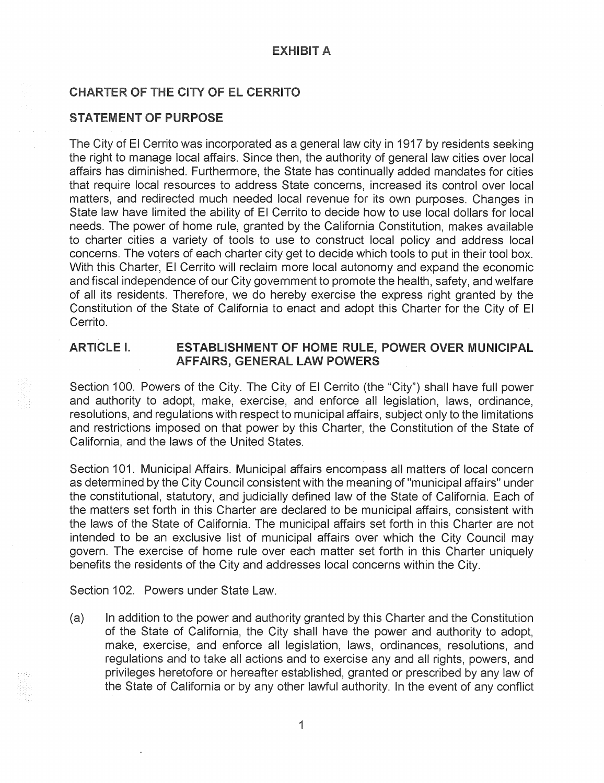## CHARTER OF THE CITY OF EL CERRITO

#### STATEMENT OF PURPOSE

The City of El Cerrito was incorporated as a general law city in 1917 by residents seeking the right to manage local affairs. Since then, the authority of general law cities over local affairs has diminished. Furthermore, the State has continually added mandates for cities that require local resources to address State concerns, increased its control over local matters, and redirected much needed local revenue for its own purposes. Changes in State law have limited the ability of El Cerrito to decide how to use local dollars for local needs. The power of home rule, granted by the California Constitution, makes available to charter cities a variety of tools to use to construct local policy and address local concerns. The voters of each charter city get to decide which tools to put in their tool box. With this Charter, El Cerrito will reclaim more local autonomy and expand the economic and fiscal independence of our City government to promote the health, safety, and welfare of all its residents. Therefore, we do hereby exercise the express right granted by the Constitution of the State of California to enact and adopt this Charter for the City of El Cerrito.

## **ARTICLE** I. ESTABLISHMENT OF HOME RULE, POWER OVER MUNICIPAL AFFAIRS, GENERAL LAW POWERS

Section 100. Powers of the City. The City of El Cerrito (the "City") shall have full power and authority to adopt, make, exercise, and enforce all legislation, laws, ordinance, resolutions, and regulations with respect to municipal affairs, subject only to the limitations and restrictions imposed on that power by this Charter, the Constitution of the State of California, and the laws of the United States.

Section 101. Municipal Affairs. Municipal affairs encompass all matters of local concern as determined by the City Council consistent with the meaning of "municipal affairs" under the constitutional, statutory, and judicially defined law of the State of California. Each of the matters set forth in this Charter are declared to be municipal affairs, consistent with the laws of the State of California. The municipal affairs set forth in this Charter are not intended to be an exclusive list of municipal affairs over which the City Council may govern. The exercise of home rule over each matter set forth in this Charter uniquely benefits the residents of the City and addresses local concerns within the City.

Section 102. Powers under State Law.

(a) In addition to the power and authority granted by this Charter and the Constitution of the State of California, the City shall have the power and authority to adopt, make, exercise, and enforce all legislation, laws, ordinances, resolutions, and regulations and to take all actions and to exercise any and all rights, powers, and privileges heretofore or hereafter established, granted or prescribed by any law of the State of California or by any other lawful authority. In the event of any conflict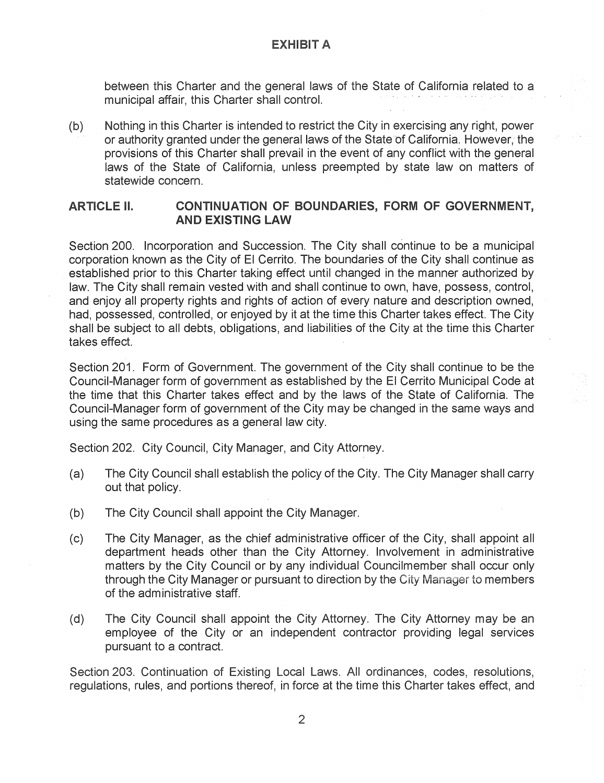between this Charter and the general laws of the State of California related to a municipal affair, this Charter shall control.

(b) Nothing in this Charter is intended to restrict the City in exercising any right, power or authority granted under the general laws of the State of California. However, the provisions of this Charter shall prevail in the event of any conflict with the general laws of the State of California, unless preempted by state law on matters of statewide concern.

### ARTICLE II. CONTINUATION OF BOUNDARIES, FORM OF GOVERNMENT, AND EXISTING LAW

Section 200. Incorporation and Succession. The City shall continue to be a municipal corporation known as the City of El Cerrito. The boundaries of the City shall continue as established prior to this Charter taking effect until changed in the manner authorized by law. The City shall remain vested with and shall continue to own, have, possess, control, and enjoy all property rights and rights of action of every nature and description owned, had, possessed, controlled, or enjoyed by it at the time this Charter takes effect. The City shall be subject to all debts, obligations, and liabilities of the City at the time this Charter takes effect.

Section 201. Form of Government. The government of the City shall continue to be the Council-Manager form of government as established by the El Cerrito Municipal Code at the time that this Charter takes effect and by the laws of the State of California. The Council-Manager form of government of the City may be changed in the same ways and using the same procedures as a general law city.

Section 202. City Council, City Manager, and City Attorney.

- (a) The City Council shall establish the policy of the City. The City Manager shall carry out that policy.
- (b) The City Council shall appoint the City Manager.
- (c) The City Manager, as the chief administrative officer of the City, shall appoint all department heads other than the City Attorney. Involvement in administrative matters by the City Council or by any individual Councilmember shall occur only through the City Manager or pursuant to direction by the City Manager to members of the administrative staff
- (d) The City Council shall appoint the City Attorney. The City Attorney may be an employee of the City or an independent contractor providing legal services pursuant to a contract.

Section 203. Continuation of Existing Local Laws. All ordinances, codes, resolutions, regulations, rules, and portions thereof, in force at the time this Charter takes effect, and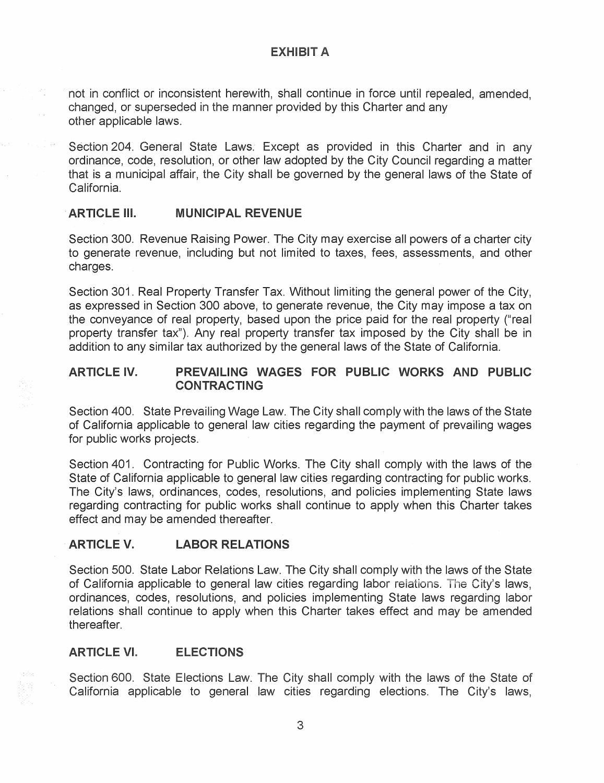not in conflict or inconsistent herewith, shall continue in force until repealed, amended, changed, or superseded in the manner provided by this Charter and any other applicable laws.

Section 204. General State Laws. Except as provided in this Charter and in any ordinance, code, resolution, or other law adopted by the City Council regarding a matter that is a municipal affair, the City shall be governed by the general laws of the State of California.

## · **ARTICLE Ill. MUNICIPAL REVENUE**

Section 300. Revenue Raising Power. The City may exercise all powers of a charter city to generate revenue, including but not limited to taxes, fees, assessments, and other charges.

Section 301. Real Property Transfer Tax. Without limiting the general power of the City, as expressed in Section 300 above, to generate revenue, the City may impose a tax on the conveyance of real property, based upon the price paid for the real property ("real property transfer tax"). Any real property transfer tax imposed by the City shall be in addition to any similar tax authorized by the general laws of the State of California.

## **ARTICLE IV. PREVAILING WAGES FOR PUBLIC WORKS AND PUBLIC CONTRACTING**

Section 400. State Prevailing Wage Law. The City shall comply with the laws of the State of California applicable to general law cities regarding the payment of prevailing wages for public works projects.

Section 401. Contracting for Public Works. The City shall comply with the laws of the State of California applicable to general law cities regarding contracting for public works. The City's laws, ordinances, codes, resolutions, and policies implementing State laws regarding contracting for public works shall continue to apply when this Charter takes effect and may be amended thereafter.

## **ARTICLEV. LABOR RELATIONS**

Section 500. State Labor Relations Law. The City shall comply with the laws of the State of California applicable to general law cities regarding labor relations. The City's laws, ordinances, codes, resolutions, and policies implementing State laws regarding labor relations shall continue to apply when this Charter takes effect and may be amended thereafter.

#### **ARTICLE VI. ELECTIONS**

Section 600. State Elections Law: The City shall comply with the laws of the State of California applicable to general law cities regarding elections. The City's laws,